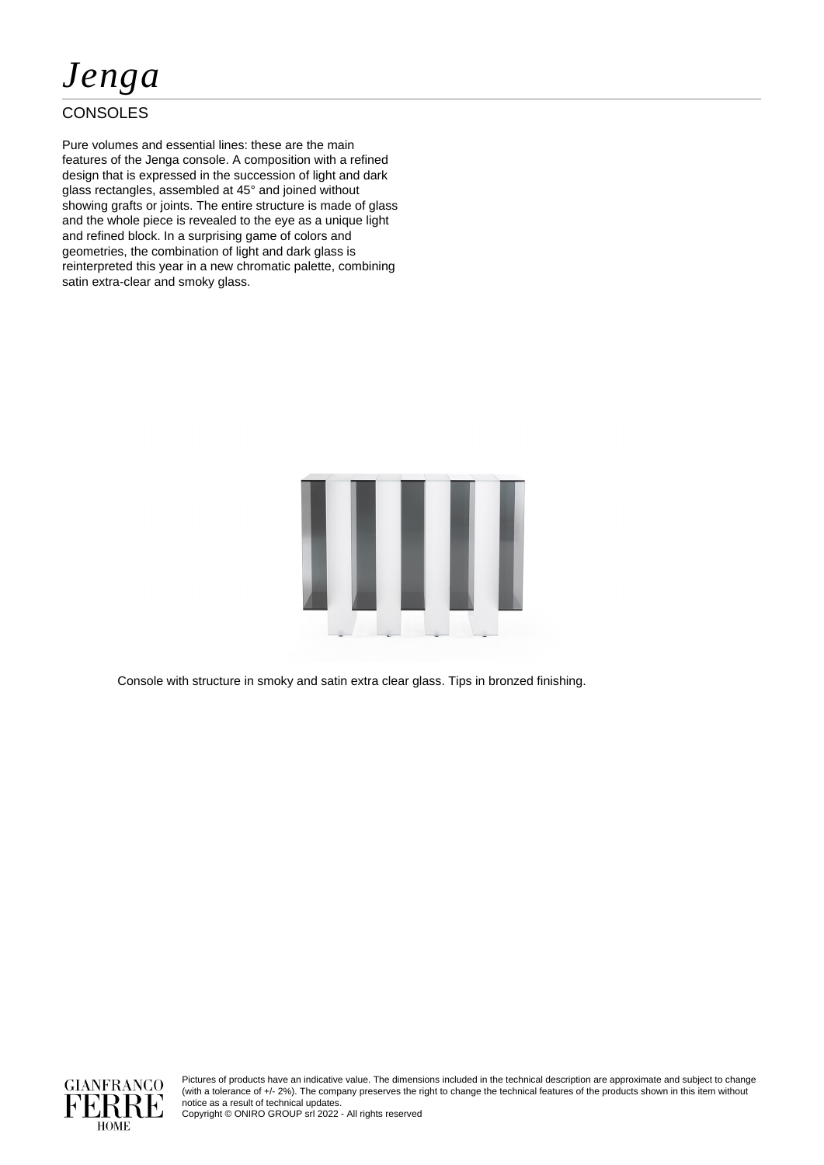# *Jenga*

### **CONSOLES**

Pure volumes and essential lines: these are the main features of the Jenga console. A composition with a refined design that is expressed in the succession of light and dark glass rectangles, assembled at 45° and joined without showing grafts or joints. The entire structure is made of glass and the whole piece is revealed to the eye as a unique light and refined block. In a surprising game of colors and geometries, the combination of light and dark glass is reinterpreted this year in a new chromatic palette, combining satin extra-clear and smoky glass.



Console with structure in smoky and satin extra clear glass. Tips in bronzed finishing.



Pictures of products have an indicative value. The dimensions included in the technical description are approximate and subject to change (with a tolerance of +/- 2%). The company preserves the right to change the technical features of the products shown in this item without notice as a result of technical updates.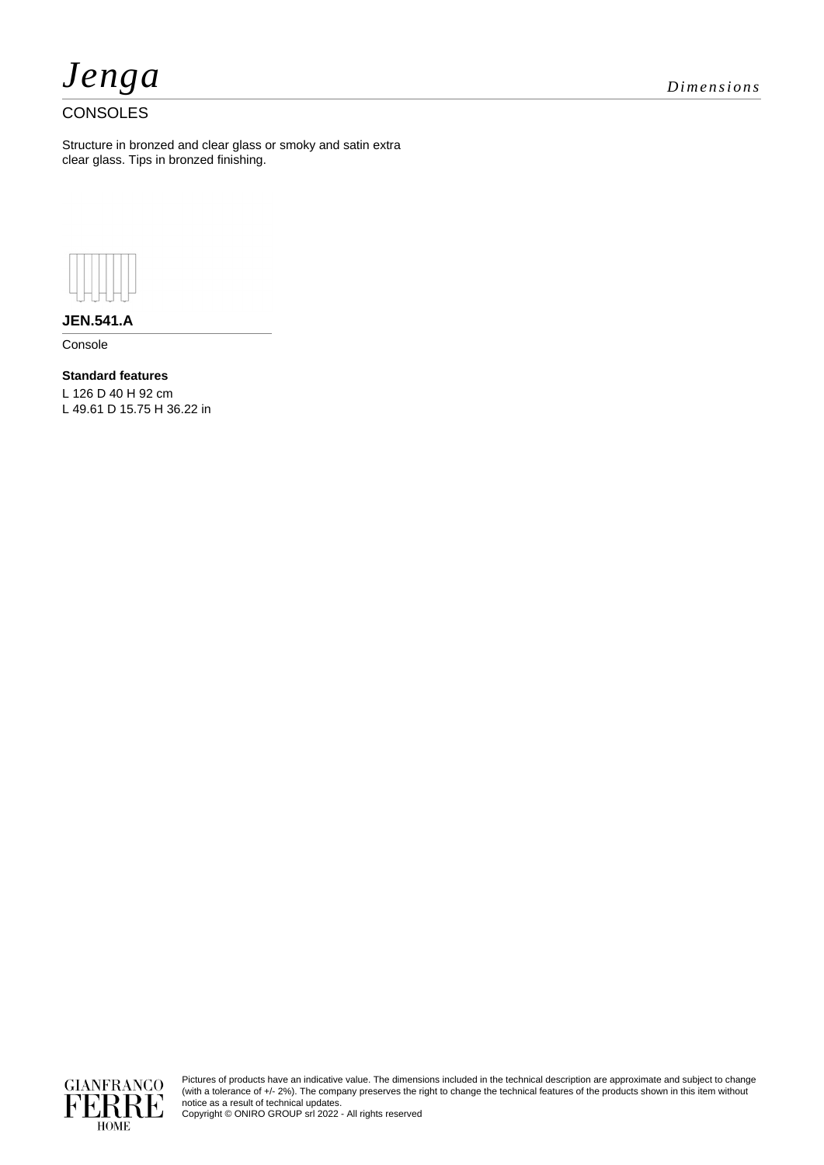

## *Jenga Dimensions*

#### **CONSOLES**

Structure in bronzed and clear glass or smoky and satin extra clear glass. Tips in bronzed finishing.



**JEN.541.A**

Console

**Standard features** L 126 D 40 H 92 cm L 49.61 D 15.75 H 36.22 in



Pictures of products have an indicative value. The dimensions included in the technical description are approximate and subject to change (with a tolerance of +/- 2%). The company preserves the right to change the technical features of the products shown in this item without notice as a result of technical updates.